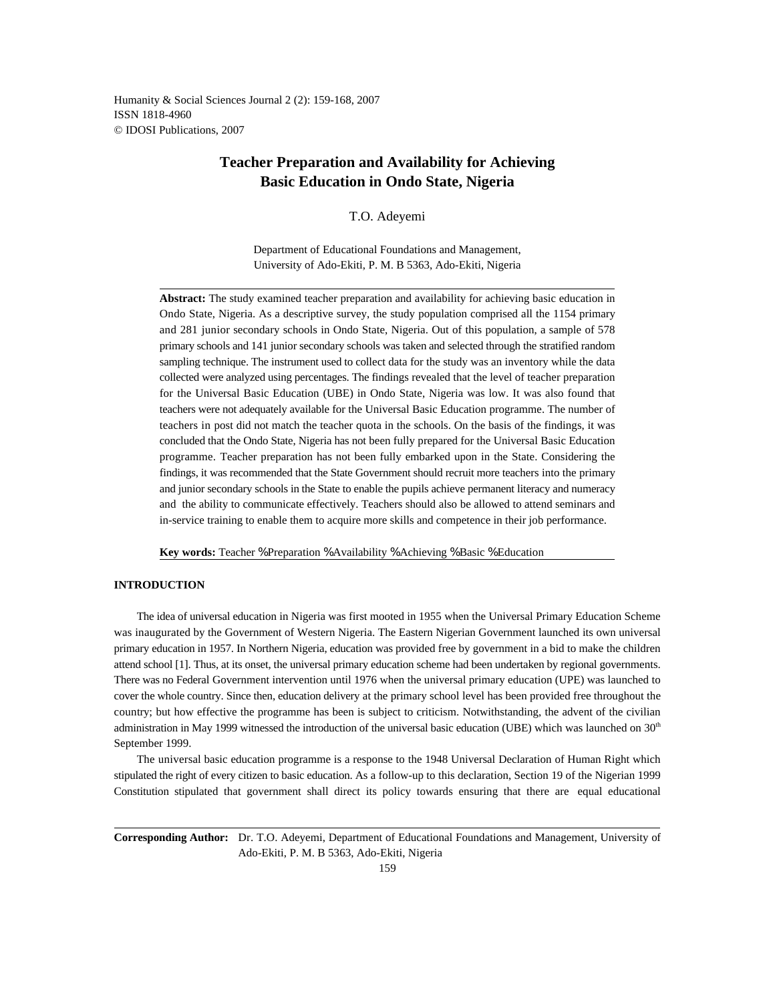Humanity & Social Sciences Journal 2 (2): 159-168, 2007 ISSN 1818-4960 © IDOSI Publications, 2007

# **Teacher Preparation and Availability for Achieving Basic Education in Ondo State, Nigeria**

T.O. Adeyemi

Department of Educational Foundations and Management, University of Ado-Ekiti, P. M. B 5363, Ado-Ekiti, Nigeria

**Abstract:** The study examined teacher preparation and availability for achieving basic education in Ondo State, Nigeria. As a descriptive survey, the study population comprised all the 1154 primary and 281 junior secondary schools in Ondo State, Nigeria. Out of this population, a sample of 578 primary schools and 141 junior secondary schools was taken and selected through the stratified random sampling technique. The instrument used to collect data for the study was an inventory while the data collected were analyzed using percentages. The findings revealed that the level of teacher preparation for the Universal Basic Education (UBE) in Ondo State, Nigeria was low. It was also found that teachers were not adequately available for the Universal Basic Education programme. The number of teachers in post did not match the teacher quota in the schools. On the basis of the findings, it was concluded that the Ondo State, Nigeria has not been fully prepared for the Universal Basic Education programme. Teacher preparation has not been fully embarked upon in the State. Considering the findings, it was recommended that the State Government should recruit more teachers into the primary and junior secondary schools in the State to enable the pupils achieve permanent literacy and numeracy and the ability to communicate effectively. Teachers should also be allowed to attend seminars and in-service training to enable them to acquire more skills and competence in their job performance.

**Key words:** Teacher % Preparation % Availability % Achieving % Basic % Education

## **INTRODUCTION**

The idea of universal education in Nigeria was first mooted in 1955 when the Universal Primary Education Scheme was inaugurated by the Government of Western Nigeria. The Eastern Nigerian Government launched its own universal primary education in 1957. In Northern Nigeria, education was provided free by government in a bid to make the children attend school [1]. Thus, at its onset, the universal primary education scheme had been undertaken by regional governments. There was no Federal Government intervention until 1976 when the universal primary education (UPE) was launched to cover the whole country. Since then, education delivery at the primary school level has been provided free throughout the country; but how effective the programme has been is subject to criticism. Notwithstanding, the advent of the civilian administration in May 1999 witnessed the introduction of the universal basic education (UBE) which was launched on  $30<sup>th</sup>$ September 1999.

The universal basic education programme is a response to the 1948 Universal Declaration of Human Right which stipulated the right of every citizen to basic education. As a follow-up to this declaration, Section 19 of the Nigerian 1999 Constitution stipulated that government shall direct its policy towards ensuring that there are equal educational

**Corresponding Author:** Dr. T.O. Adeyemi, Department of Educational Foundations and Management, University of Ado-Ekiti, P. M. B 5363, Ado-Ekiti, Nigeria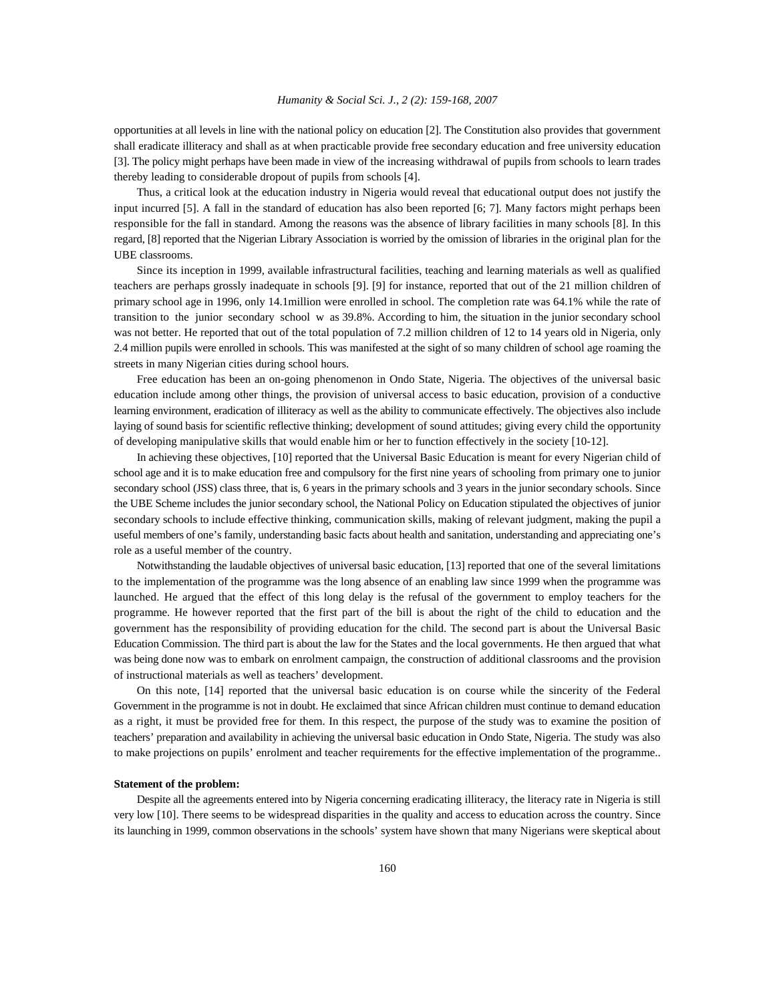opportunities at all levels in line with the national policy on education [2]. The Constitution also provides that government shall eradicate illiteracy and shall as at when practicable provide free secondary education and free university education [3]. The policy might perhaps have been made in view of the increasing withdrawal of pupils from schools to learn trades thereby leading to considerable dropout of pupils from schools [4].

Thus, a critical look at the education industry in Nigeria would reveal that educational output does not justify the input incurred [5]. A fall in the standard of education has also been reported [6; 7]. Many factors might perhaps been responsible for the fall in standard. Among the reasons was the absence of library facilities in many schools [8]. In this regard, [8] reported that the Nigerian Library Association is worried by the omission of libraries in the original plan for the UBE classrooms.

Since its inception in 1999, available infrastructural facilities, teaching and learning materials as well as qualified teachers are perhaps grossly inadequate in schools [9]. [9] for instance, reported that out of the 21 million children of primary school age in 1996, only 14.1million were enrolled in school. The completion rate was 64.1% while the rate of transition to the junior secondary school w as 39.8%. According to him, the situation in the junior secondary school was not better. He reported that out of the total population of 7.2 million children of 12 to 14 years old in Nigeria, only 2.4 million pupils were enrolled in schools. This was manifested at the sight of so many children of school age roaming the streets in many Nigerian cities during school hours.

Free education has been an on-going phenomenon in Ondo State, Nigeria. The objectives of the universal basic education include among other things, the provision of universal access to basic education, provision of a conductive learning environment, eradication of illiteracy as well as the ability to communicate effectively. The objectives also include laying of sound basis for scientific reflective thinking; development of sound attitudes; giving every child the opportunity of developing manipulative skills that would enable him or her to function effectively in the society [10-12].

In achieving these objectives, [10] reported that the Universal Basic Education is meant for every Nigerian child of school age and it is to make education free and compulsory for the first nine years of schooling from primary one to junior secondary school (JSS) class three, that is, 6 years in the primary schools and 3 years in the junior secondary schools. Since the UBE Scheme includes the junior secondary school, the National Policy on Education stipulated the objectives of junior secondary schools to include effective thinking, communication skills, making of relevant judgment, making the pupil a useful members of one's family, understanding basic facts about health and sanitation, understanding and appreciating one's role as a useful member of the country.

Notwithstanding the laudable objectives of universal basic education, [13] reported that one of the several limitations to the implementation of the programme was the long absence of an enabling law since 1999 when the programme was launched. He argued that the effect of this long delay is the refusal of the government to employ teachers for the programme. He however reported that the first part of the bill is about the right of the child to education and the government has the responsibility of providing education for the child. The second part is about the Universal Basic Education Commission. The third part is about the law for the States and the local governments. He then argued that what was being done now was to embark on enrolment campaign, the construction of additional classrooms and the provision of instructional materials as well as teachers' development.

On this note, [14] reported that the universal basic education is on course while the sincerity of the Federal Government in the programme is not in doubt. He exclaimed that since African children must continue to demand education as a right, it must be provided free for them. In this respect, the purpose of the study was to examine the position of teachers' preparation and availability in achieving the universal basic education in Ondo State, Nigeria. The study was also to make projections on pupils' enrolment and teacher requirements for the effective implementation of the programme..

#### **Statement of the problem:**

Despite all the agreements entered into by Nigeria concerning eradicating illiteracy, the literacy rate in Nigeria is still very low [10]. There seems to be widespread disparities in the quality and access to education across the country. Since its launching in 1999, common observations in the schools' system have shown that many Nigerians were skeptical about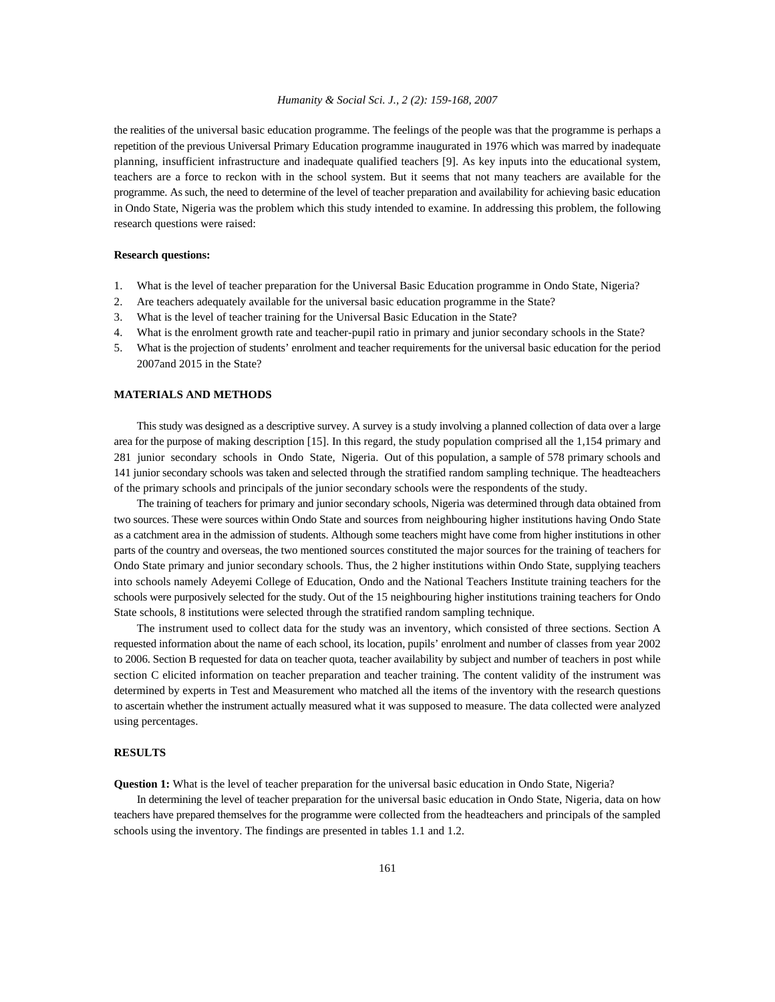the realities of the universal basic education programme. The feelings of the people was that the programme is perhaps a repetition of the previous Universal Primary Education programme inaugurated in 1976 which was marred by inadequate planning, insufficient infrastructure and inadequate qualified teachers [9]. As key inputs into the educational system, teachers are a force to reckon with in the school system. But it seems that not many teachers are available for the programme. As such, the need to determine of the level of teacher preparation and availability for achieving basic education in Ondo State, Nigeria was the problem which this study intended to examine. In addressing this problem, the following research questions were raised:

## **Research questions:**

- 1. What is the level of teacher preparation for the Universal Basic Education programme in Ondo State, Nigeria?
- 2. Are teachers adequately available for the universal basic education programme in the State?
- 3. What is the level of teacher training for the Universal Basic Education in the State?
- 4. What is the enrolment growth rate and teacher-pupil ratio in primary and junior secondary schools in the State?
- 5. What is the projection of students' enrolment and teacher requirements for the universal basic education for the period 2007and 2015 in the State?

# **MATERIALS AND METHODS**

This study was designed as a descriptive survey. A survey is a study involving a planned collection of data over a large area for the purpose of making description [15]. In this regard, the study population comprised all the 1,154 primary and 281 junior secondary schools in Ondo State, Nigeria. Out of this population, a sample of 578 primary schools and 141 junior secondary schools was taken and selected through the stratified random sampling technique. The headteachers of the primary schools and principals of the junior secondary schools were the respondents of the study.

The training of teachers for primary and junior secondary schools, Nigeria was determined through data obtained from two sources. These were sources within Ondo State and sources from neighbouring higher institutions having Ondo State as a catchment area in the admission of students. Although some teachers might have come from higher institutions in other parts of the country and overseas, the two mentioned sources constituted the major sources for the training of teachers for Ondo State primary and junior secondary schools. Thus, the 2 higher institutions within Ondo State, supplying teachers into schools namely Adeyemi College of Education, Ondo and the National Teachers Institute training teachers for the schools were purposively selected for the study. Out of the 15 neighbouring higher institutions training teachers for Ondo State schools, 8 institutions were selected through the stratified random sampling technique.

The instrument used to collect data for the study was an inventory, which consisted of three sections. Section A requested information about the name of each school, its location, pupils' enrolment and number of classes from year 2002 to 2006. Section B requested for data on teacher quota, teacher availability by subject and number of teachers in post while section C elicited information on teacher preparation and teacher training. The content validity of the instrument was determined by experts in Test and Measurement who matched all the items of the inventory with the research questions to ascertain whether the instrument actually measured what it was supposed to measure. The data collected were analyzed using percentages.

# **RESULTS**

**Question 1:** What is the level of teacher preparation for the universal basic education in Ondo State, Nigeria?

In determining the level of teacher preparation for the universal basic education in Ondo State, Nigeria, data on how teachers have prepared themselves for the programme were collected from the headteachers and principals of the sampled schools using the inventory. The findings are presented in tables 1.1 and 1.2.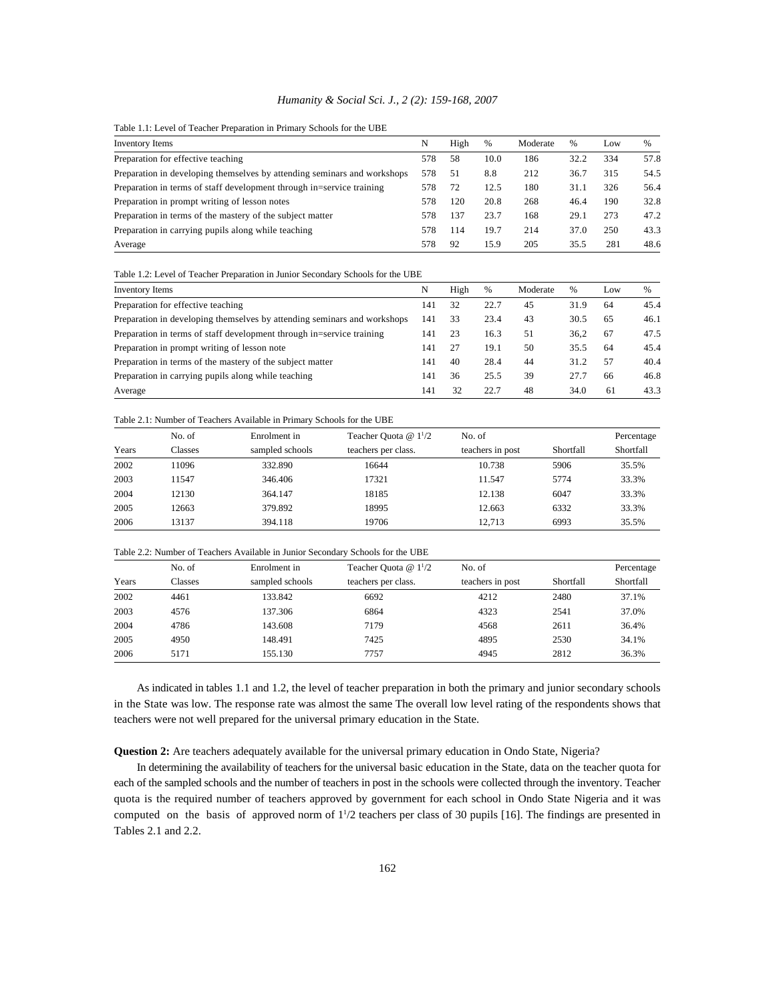Table 1.1: Level of Teacher Preparation in Primary Schools for the UBE

| Inventory Items                                                          | N   | High | $\%$ | Moderate | %    | Low | %    |
|--------------------------------------------------------------------------|-----|------|------|----------|------|-----|------|
| Preparation for effective teaching                                       | 578 | 58   | 10.0 | 186      | 32.2 | 334 | 57.8 |
| Preparation in developing themselves by attending seminars and workshops | 578 | 51   | 8.8  | 212      | 36.7 | 315 | 54.5 |
| Preparation in terms of staff development through in=service training    | 578 | 72   | 12.5 | 180      | 31.1 | 326 | 56.4 |
| Preparation in prompt writing of lesson notes                            | 578 | 120  | 20.8 | 268      | 46.4 | 190 | 32.8 |
| Preparation in terms of the mastery of the subject matter                |     | 137  | 23.7 | 168      | 29.1 | 273 | 47.2 |
| Preparation in carrying pupils along while teaching                      | 578 | 114  | 19.7 | 214      | 37.0 | 250 | 43.3 |
| Average                                                                  | 578 | 92   | 15.9 | 205      | 35.5 | 281 | 48.6 |

Table 1.2: Level of Teacher Preparation in Junior Secondary Schools for the UBE

| Inventory Items                                                          | N   | High | $\%$ | Moderate | %    | Low | $\%$ |
|--------------------------------------------------------------------------|-----|------|------|----------|------|-----|------|
| Preparation for effective teaching                                       | 141 | 32   | 22.7 | 45       | 31.9 | 64  | 45.4 |
| Preparation in developing themselves by attending seminars and workshops | 141 | 33   | 23.4 | 43       | 30.5 | 65  | 46.1 |
| Preparation in terms of staff development through in=service training    | 141 | 23   | 16.3 | 51       | 36.2 | 67  | 47.5 |
| Preparation in prompt writing of lesson note                             | 141 | 27   | 19.1 | 50       | 35.5 | 64  | 45.4 |
| Preparation in terms of the mastery of the subject matter                | 141 | 40   | 28.4 | 44       | 31.2 | 57  | 40.4 |
| Preparation in carrying pupils along while teaching                      | 141 | 36   | 25.5 | 39       | 27.7 | 66  | 46.8 |
| Average                                                                  | 14  | 32   | 22.7 | 48       | 34.0 | -61 | 43.3 |

#### Table 2.1: Number of Teachers Available in Primary Schools for the UBE

|       | No. of  | Enrolment in    | Teacher Quota $@11/2$ | No. of           |           | Percentage |
|-------|---------|-----------------|-----------------------|------------------|-----------|------------|
|       |         |                 |                       |                  |           |            |
| Years | Classes | sampled schools | teachers per class.   | teachers in post | Shortfall | Shortfall  |
| 2002  | 11096   | 332.890         | 16644                 | 10.738           | 5906      | 35.5%      |
| 2003  | 11547   | 346.406         | 17321                 | 11.547           | 5774      | 33.3%      |
| 2004  | 12130   | 364.147         | 18185                 | 12.138           | 6047      | 33.3%      |
| 2005  | 12663   | 379.892         | 18995                 | 12.663           | 6332      | 33.3%      |
| 2006  | 13137   | 394.118         | 19706                 | 12.713           | 6993      | 35.5%      |

#### Table 2.2: Number of Teachers Available in Junior Secondary Schools for the UBE

| Percentage             |
|------------------------|
| Shortfall<br>Shortfall |
| 37.1%                  |
| 37.0%                  |
| 36.4%                  |
| 34.1%                  |
| 36.3%                  |
|                        |

As indicated in tables 1.1 and 1.2, the level of teacher preparation in both the primary and junior secondary schools in the State was low. The response rate was almost the same The overall low level rating of the respondents shows that teachers were not well prepared for the universal primary education in the State.

**Question 2:** Are teachers adequately available for the universal primary education in Ondo State, Nigeria?

In determining the availability of teachers for the universal basic education in the State, data on the teacher quota for each of the sampled schools and the number of teachers in post in the schools were collected through the inventory. Teacher quota is the required number of teachers approved by government for each school in Ondo State Nigeria and it was computed on the basis of approved norm of  $1^{1}/2$  teachers per class of 30 pupils [16]. The findings are presented in Tables 2.1 and 2.2.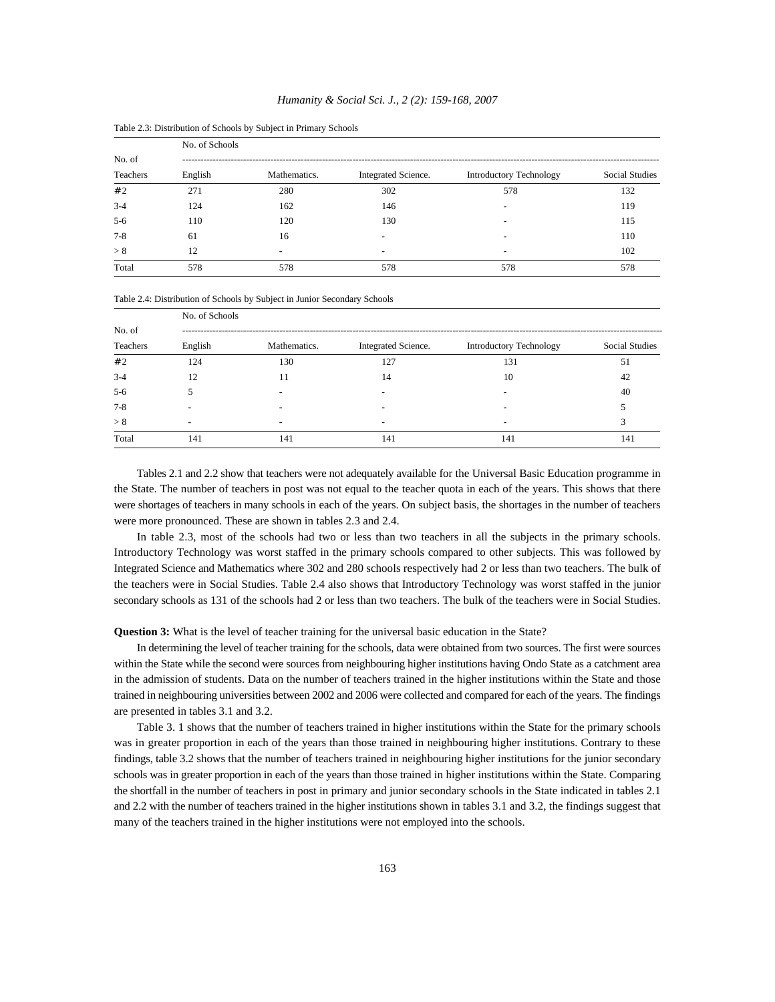|          | No. of Schools |              |                     |                                |                |
|----------|----------------|--------------|---------------------|--------------------------------|----------------|
| No. of   |                |              |                     |                                |                |
| Teachers | English        | Mathematics. | Integrated Science. | <b>Introductory Technology</b> | Social Studies |
| #2       | 271            | 280          | 302                 | 578                            | 132            |
| $3-4$    | 124            | 162          | 146                 |                                | 119            |
| $5-6$    | 110            | 120          | 130                 |                                | 115            |
| $7 - 8$  | 61             | 16           |                     |                                | 110            |
| > 8      | 12             |              |                     |                                | 102            |
| Total    | 578            | 578          | 578                 | 578                            | 578            |

Table 2.3: Distribution of Schools by Subject in Primary Schools

Table 2.4: Distribution of Schools by Subject in Junior Secondary Schools

|          | No. of Schools |              |                          |                                |                       |
|----------|----------------|--------------|--------------------------|--------------------------------|-----------------------|
| No. of   |                |              |                          |                                |                       |
| Teachers | English        | Mathematics. | Integrated Science.      | <b>Introductory Technology</b> | <b>Social Studies</b> |
| #2       | 124            | 130          | 127                      | 131                            | 51                    |
| $3-4$    | 12             | 11           | 14                       | 10                             | 42                    |
| $5-6$    |                |              |                          |                                | 40                    |
| $7 - 8$  |                |              |                          |                                |                       |
| > 8      |                | ۰            | $\overline{\phantom{a}}$ | $\overline{\phantom{a}}$       | 3                     |
| Total    | 141            | 141          | 141                      | 141                            | 141                   |

Tables 2.1 and 2.2 show that teachers were not adequately available for the Universal Basic Education programme in the State. The number of teachers in post was not equal to the teacher quota in each of the years. This shows that there were shortages of teachers in many schools in each of the years. On subject basis, the shortages in the number of teachers were more pronounced. These are shown in tables 2.3 and 2.4.

In table 2.3, most of the schools had two or less than two teachers in all the subjects in the primary schools. Introductory Technology was worst staffed in the primary schools compared to other subjects. This was followed by Integrated Science and Mathematics where 302 and 280 schools respectively had 2 or less than two teachers. The bulk of the teachers were in Social Studies. Table 2.4 also shows that Introductory Technology was worst staffed in the junior secondary schools as 131 of the schools had 2 or less than two teachers. The bulk of the teachers were in Social Studies.

**Question 3:** What is the level of teacher training for the universal basic education in the State?

In determining the level of teacher training for the schools, data were obtained from two sources. The first were sources within the State while the second were sources from neighbouring higher institutions having Ondo State as a catchment area in the admission of students. Data on the number of teachers trained in the higher institutions within the State and those trained in neighbouring universities between 2002 and 2006 were collected and compared for each of the years. The findings are presented in tables 3.1 and 3.2.

Table 3. 1 shows that the number of teachers trained in higher institutions within the State for the primary schools was in greater proportion in each of the years than those trained in neighbouring higher institutions. Contrary to these findings, table 3.2 shows that the number of teachers trained in neighbouring higher institutions for the junior secondary schools was in greater proportion in each of the years than those trained in higher institutions within the State. Comparing the shortfall in the number of teachers in post in primary and junior secondary schools in the State indicated in tables 2.1 and 2.2 with the number of teachers trained in the higher institutions shown in tables 3.1 and 3.2, the findings suggest that many of the teachers trained in the higher institutions were not employed into the schools.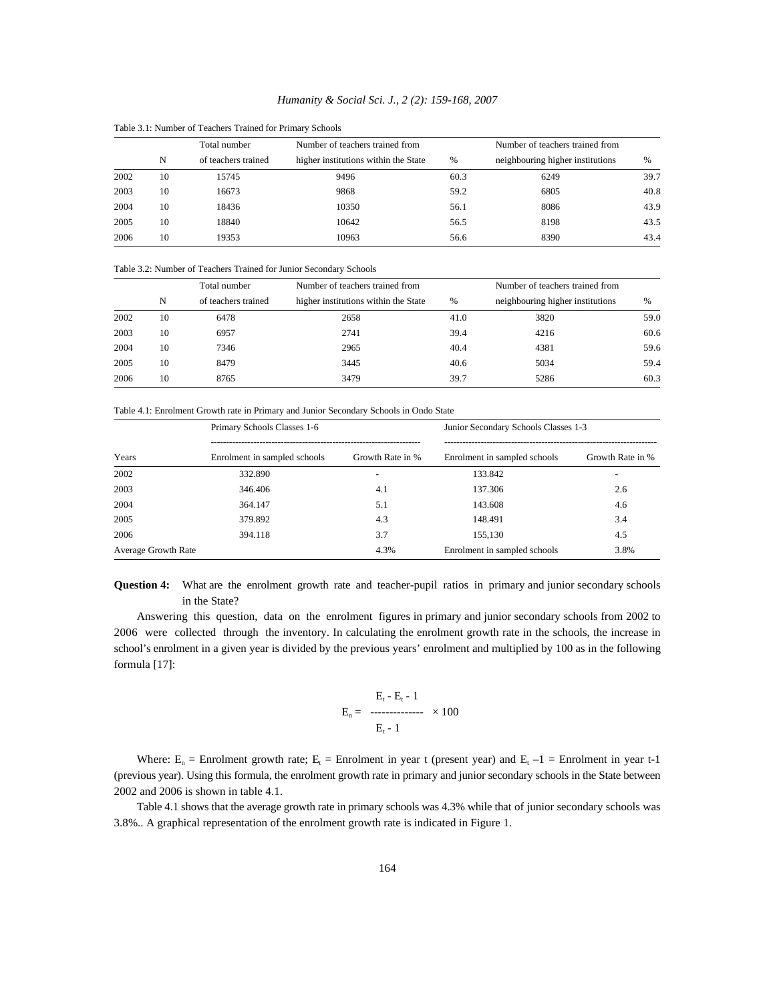|      | Total number |                     | Number of teachers trained from      |      | Number of teachers trained from  |      |
|------|--------------|---------------------|--------------------------------------|------|----------------------------------|------|
|      | N            | of teachers trained | higher institutions within the State | %    | neighbouring higher institutions | %    |
| 2002 | 10           | 15745               | 9496                                 | 60.3 | 6249                             | 39.7 |
| 2003 | 10           | 16673               | 9868                                 | 59.2 | 6805                             | 40.8 |
| 2004 | 10           | 18436               | 10350                                | 56.1 | 8086                             | 43.9 |
| 2005 | 10           | 18840               | 10642                                | 56.5 | 8198                             | 43.5 |
| 2006 | 10           | 19353               | 10963                                | 56.6 | 8390                             | 43.4 |

Table 3.1: Number of Teachers Trained for Primary Schools

Table 3.2: Number of Teachers Trained for Junior Secondary Schools

|      | Total number |                     | Number of teachers trained from      |      | Number of teachers trained from  |      |
|------|--------------|---------------------|--------------------------------------|------|----------------------------------|------|
|      | N            | of teachers trained | higher institutions within the State | %    | neighbouring higher institutions | %    |
| 2002 | 10           | 6478                | 2658                                 | 41.0 | 3820                             | 59.0 |
| 2003 | 10           | 6957                | 2741                                 | 39.4 | 4216                             | 60.6 |
| 2004 | 10           | 7346                | 2965                                 | 40.4 | 4381                             | 59.6 |
| 2005 | 10           | 8479                | 3445                                 | 40.6 | 5034                             | 59.4 |
| 2006 | 10           | 8765                | 3479                                 | 39.7 | 5286                             | 60.3 |

Table 4.1: Enrolment Growth rate in Primary and Junior Secondary Schools in Ondo State

|                     | Primary Schools Classes 1-6  |                  | Junior Secondary Schools Classes 1-3 |                  |  |
|---------------------|------------------------------|------------------|--------------------------------------|------------------|--|
| Years               | Enrolment in sampled schools | Growth Rate in % | Enrolment in sampled schools         | Growth Rate in % |  |
| 2002                | 332.890                      |                  | 133.842                              |                  |  |
| 2003                | 346.406                      | 4.1              | 137.306                              | 2.6              |  |
| 2004                | 364.147                      | 5.1              | 143.608                              | 4.6              |  |
| 2005                | 379.892                      | 4.3              | 148.491                              | 3.4              |  |
| 2006                | 394.118                      | 3.7              | 155.130                              | 4.5              |  |
| Average Growth Rate |                              | 4.3%             | Enrolment in sampled schools         | 3.8%             |  |

**Question 4:** What are the enrolment growth rate and teacher-pupil ratios in primary and junior secondary schools in the State?

Answering this question, data on the enrolment figures in primary and junior secondary schools from 2002 to 2006 were collected through the inventory. In calculating the enrolment growth rate in the schools, the increase in school's enrolment in a given year is divided by the previous years' enrolment and multiplied by 100 as in the following formula [17]:

$$
E_{n} = \begin{array}{c} E_{t} - E_{t} - 1 \\ \text{-} \\ E_{t} - 1 \end{array} \times 100
$$

Where:  $E_n$  = Enrolment growth rate;  $E_t$  = Enrolment in year t (present year) and  $E_t$  –1 = Enrolment in year t-1 (previous year). Using this formula, the enrolment growth rate in primary and junior secondary schools in the State between 2002 and 2006 is shown in table 4.1.

Table 4.1 shows that the average growth rate in primary schools was 4.3% while that of junior secondary schools was 3.8%.. A graphical representation of the enrolment growth rate is indicated in Figure 1.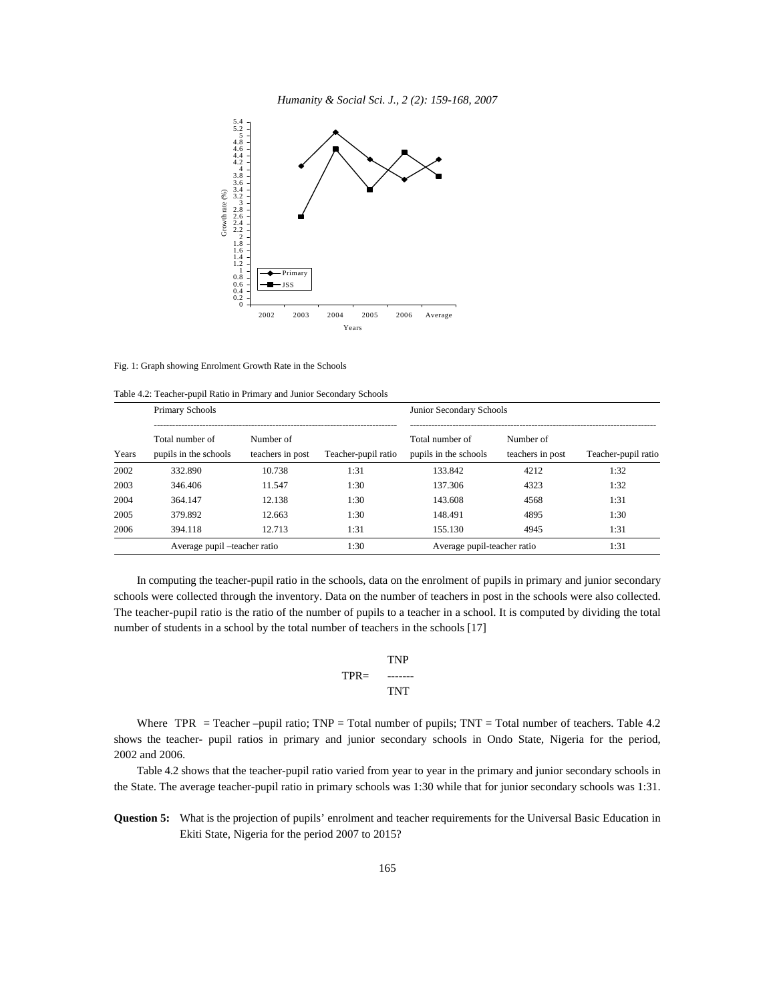



Fig. 1: Graph showing Enrolment Growth Rate in the Schools

Table 4.2: Teacher-pupil Ratio in Primary and Junior Secondary Schools

|       | Primary Schools                          |                               |                     | Junior Secondary Schools                 |                               |                     |  |
|-------|------------------------------------------|-------------------------------|---------------------|------------------------------------------|-------------------------------|---------------------|--|
| Years | Total number of<br>pupils in the schools | Number of<br>teachers in post | Teacher-pupil ratio | Total number of<br>pupils in the schools | Number of<br>teachers in post | Teacher-pupil ratio |  |
| 2002  | 332.890                                  | 10.738                        | 1:31                | 133.842                                  | 4212                          | 1:32                |  |
| 2003  | 346.406                                  | 11.547                        | 1:30                | 137.306                                  | 4323                          | 1:32                |  |
| 2004  | 364.147                                  | 12.138                        | 1:30                | 143.608                                  | 4568                          | 1:31                |  |
| 2005  | 379.892                                  | 12.663                        | 1:30                | 148.491                                  | 4895                          | 1:30                |  |
| 2006  | 394.118                                  | 12.713                        | 1:31                | 155.130                                  | 4945                          | 1:31                |  |
|       | Average pupil -teacher ratio             |                               | 1:30                |                                          | Average pupil-teacher ratio   |                     |  |

In computing the teacher-pupil ratio in the schools, data on the enrolment of pupils in primary and junior secondary schools were collected through the inventory. Data on the number of teachers in post in the schools were also collected. The teacher-pupil ratio is the ratio of the number of pupils to a teacher in a school. It is computed by dividing the total number of students in a school by the total number of teachers in the schools [17]

$$
TPR = \begin{array}{cc}\nTNP \\
\text{---} \\
\text{TNT}\n\end{array}
$$

Where TPR = Teacher –pupil ratio; TNP = Total number of pupils; TNT = Total number of teachers. Table 4.2 shows the teacher- pupil ratios in primary and junior secondary schools in Ondo State, Nigeria for the period, 2002 and 2006.

Table 4.2 shows that the teacher-pupil ratio varied from year to year in the primary and junior secondary schools in the State. The average teacher-pupil ratio in primary schools was 1:30 while that for junior secondary schools was 1:31.

**Question 5:** What is the projection of pupils' enrolment and teacher requirements for the Universal Basic Education in Ekiti State, Nigeria for the period 2007 to 2015?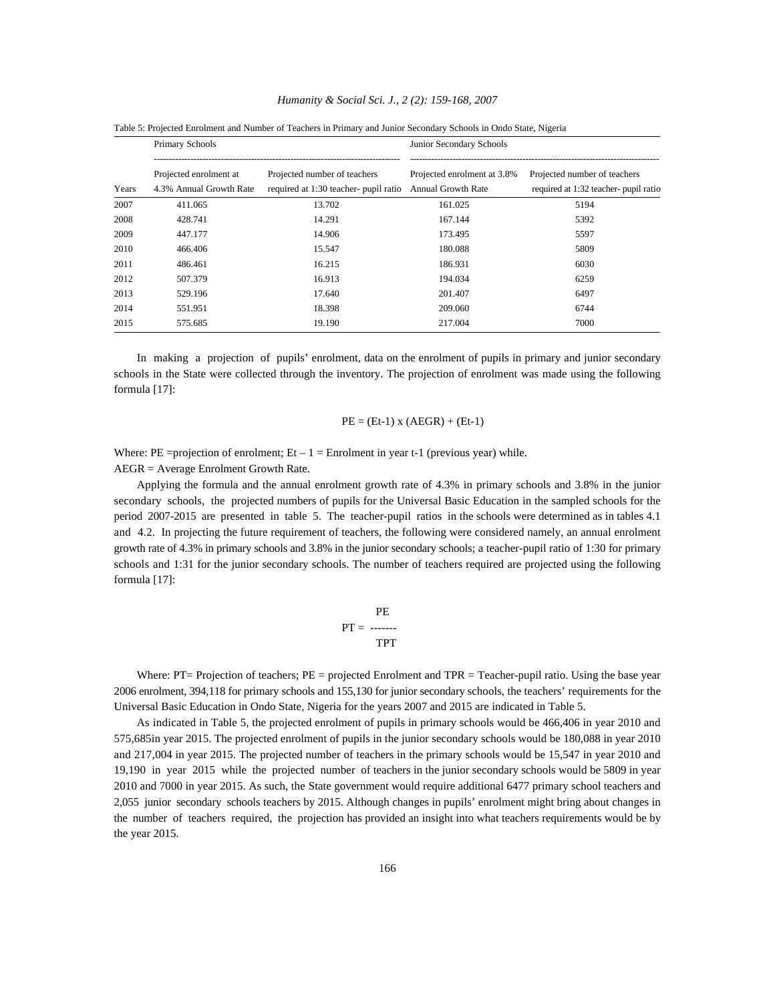|       | Primary Schools                                   |                                                                       | Junior Secondary Schools                                 |                                                                       |  |  |
|-------|---------------------------------------------------|-----------------------------------------------------------------------|----------------------------------------------------------|-----------------------------------------------------------------------|--|--|
| Years | Projected enrolment at<br>4.3% Annual Growth Rate | Projected number of teachers<br>required at 1:30 teacher- pupil ratio | Projected enrolment at 3.8%<br><b>Annual Growth Rate</b> | Projected number of teachers<br>required at 1:32 teacher- pupil ratio |  |  |
| 2007  | 411.065                                           | 13.702                                                                | 161.025                                                  | 5194                                                                  |  |  |
| 2008  | 428.741                                           | 14.291                                                                | 167.144                                                  | 5392                                                                  |  |  |
| 2009  | 447.177                                           | 14.906                                                                | 173.495                                                  | 5597                                                                  |  |  |
| 2010  | 466.406                                           | 15.547                                                                | 180.088                                                  | 5809                                                                  |  |  |
| 2011  | 486.461                                           | 16.215                                                                | 186.931                                                  | 6030                                                                  |  |  |
| 2012  | 507.379                                           | 16.913                                                                | 194.034                                                  | 6259                                                                  |  |  |
| 2013  | 529.196                                           | 17.640                                                                | 201.407                                                  | 6497                                                                  |  |  |
| 2014  | 551.951                                           | 18.398                                                                | 209.060                                                  | 6744                                                                  |  |  |
| 2015  | 575.685                                           | 19.190                                                                | 217.004                                                  | 7000                                                                  |  |  |

Table 5: Projected Enrolment and Number of Teachers in Primary and Junior Secondary Schools in Ondo State, Nigeria

In making a projection of pupils' enrolment, data on the enrolment of pupils in primary and junior secondary schools in the State were collected through the inventory. The projection of enrolment was made using the following formula [17]:

#### $PE = (Et-1)$  x  $(AEGR) + (Et-1)$

Where: PE =projection of enrolment; Et  $-1$  = Enrolment in year t-1 (previous year) while.

AEGR = Average Enrolment Growth Rate.

Applying the formula and the annual enrolment growth rate of 4.3% in primary schools and 3.8% in the junior secondary schools, the projected numbers of pupils for the Universal Basic Education in the sampled schools for the period 2007-2015 are presented in table 5. The teacher-pupil ratios in the schools were determined as in tables 4.1 and 4.2. In projecting the future requirement of teachers, the following were considered namely, an annual enrolment growth rate of 4.3% in primary schools and 3.8% in the junior secondary schools; a teacher-pupil ratio of 1:30 for primary schools and 1:31 for the junior secondary schools. The number of teachers required are projected using the following formula [17]:

$$
PE
$$
  
PT = 3.3  
TPT

Where:  $PT=$  Projection of teachers;  $PE =$  projected Enrolment and  $TPR =$  Teacher-pupil ratio. Using the base year 2006 enrolment, 394,118 for primary schools and 155,130 for junior secondary schools, the teachers' requirements for the Universal Basic Education in Ondo State, Nigeria for the years 2007 and 2015 are indicated in Table 5.

As indicated in Table 5, the projected enrolment of pupils in primary schools would be 466,406 in year 2010 and 575,685in year 2015. The projected enrolment of pupils in the junior secondary schools would be 180,088 in year 2010 and 217,004 in year 2015. The projected number of teachers in the primary schools would be 15,547 in year 2010 and 19,190 in year 2015 while the projected number of teachers in the junior secondary schools would be 5809 in year 2010 and 7000 in year 2015. As such, the State government would require additional 6477 primary school teachers and 2,055 junior secondary schools teachers by 2015. Although changes in pupils' enrolment might bring about changes in the number of teachers required, the projection has provided an insight into what teachers requirements would be by the year 2015.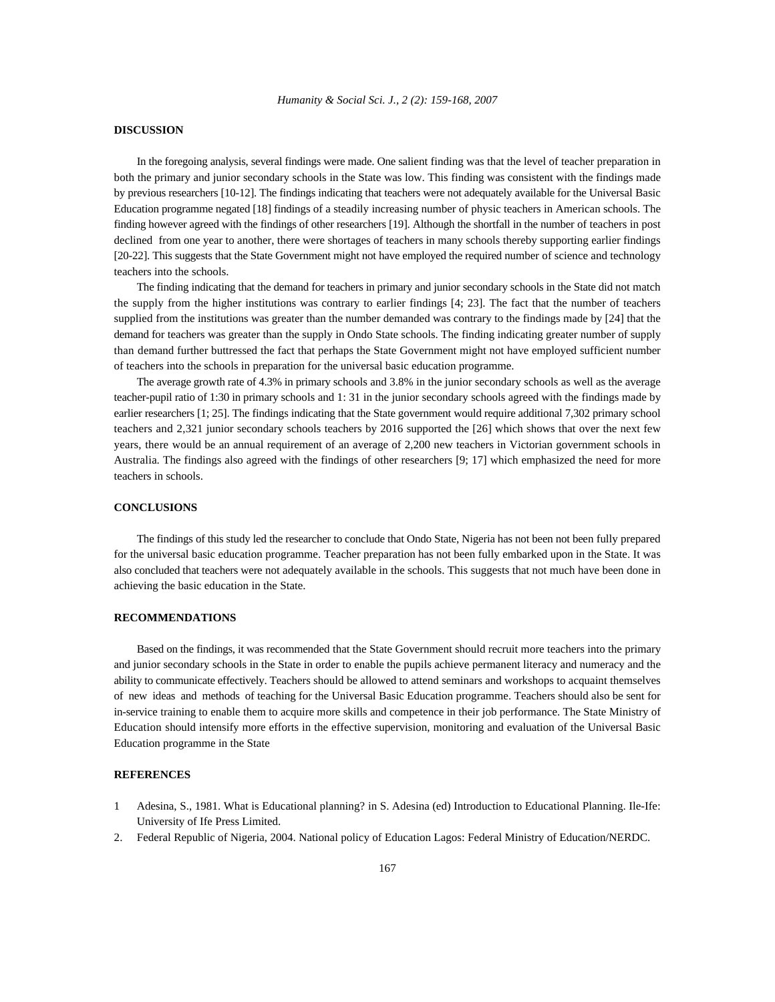## **DISCUSSION**

In the foregoing analysis, several findings were made. One salient finding was that the level of teacher preparation in both the primary and junior secondary schools in the State was low. This finding was consistent with the findings made by previous researchers [10-12]. The findings indicating that teachers were not adequately available for the Universal Basic Education programme negated [18] findings of a steadily increasing number of physic teachers in American schools. The finding however agreed with the findings of other researchers [19]. Although the shortfall in the number of teachers in post declined from one year to another, there were shortages of teachers in many schools thereby supporting earlier findings [20-22]. This suggests that the State Government might not have employed the required number of science and technology teachers into the schools.

The finding indicating that the demand for teachers in primary and junior secondary schools in the State did not match the supply from the higher institutions was contrary to earlier findings [4; 23]. The fact that the number of teachers supplied from the institutions was greater than the number demanded was contrary to the findings made by [24] that the demand for teachers was greater than the supply in Ondo State schools. The finding indicating greater number of supply than demand further buttressed the fact that perhaps the State Government might not have employed sufficient number of teachers into the schools in preparation for the universal basic education programme.

The average growth rate of 4.3% in primary schools and 3.8% in the junior secondary schools as well as the average teacher-pupil ratio of 1:30 in primary schools and 1: 31 in the junior secondary schools agreed with the findings made by earlier researchers [1; 25]. The findings indicating that the State government would require additional 7,302 primary school teachers and 2,321 junior secondary schools teachers by 2016 supported the [26] which shows that over the next few years, there would be an annual requirement of an average of 2,200 new teachers in Victorian government schools in Australia. The findings also agreed with the findings of other researchers [9; 17] which emphasized the need for more teachers in schools.

## **CONCLUSIONS**

The findings of this study led the researcher to conclude that Ondo State, Nigeria has not been not been fully prepared for the universal basic education programme. Teacher preparation has not been fully embarked upon in the State. It was also concluded that teachers were not adequately available in the schools. This suggests that not much have been done in achieving the basic education in the State.

### **RECOMMENDATIONS**

Based on the findings, it was recommended that the State Government should recruit more teachers into the primary and junior secondary schools in the State in order to enable the pupils achieve permanent literacy and numeracy and the ability to communicate effectively. Teachers should be allowed to attend seminars and workshops to acquaint themselves of new ideas and methods of teaching for the Universal Basic Education programme. Teachers should also be sent for in-service training to enable them to acquire more skills and competence in their job performance. The State Ministry of Education should intensify more efforts in the effective supervision, monitoring and evaluation of the Universal Basic Education programme in the State

#### **REFERENCES**

- 1 Adesina, S., 1981. What is Educational planning? in S. Adesina (ed) Introduction to Educational Planning. Ile-Ife: University of Ife Press Limited.
- 2. Federal Republic of Nigeria, 2004. National policy of Education Lagos: Federal Ministry of Education/NERDC.